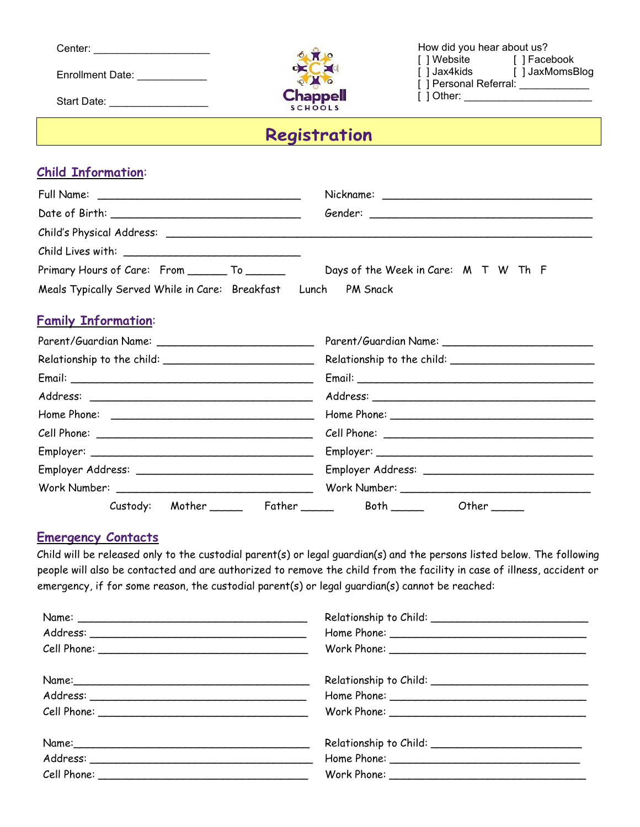| Center: |  |  |  |  |
|---------|--|--|--|--|
|         |  |  |  |  |

Enrollment Date:

Start Date: \_\_\_\_\_\_\_\_\_\_\_\_\_\_\_\_\_\_\_\_\_



How did you hear about us? [ ] Website [ ] Facebook [ ] Jax4kids [ ] JaxMomsBlog [ ] Personal Referral: \_\_\_\_\_\_\_\_\_\_\_\_\_ [ ] Other: \_\_\_\_\_\_\_\_\_\_\_\_\_

# Registration

## **Child Information**:

| Primary Hours of Care: From ________ To _______                | Days of the Week in Care: M T W Th F |  |  |
|----------------------------------------------------------------|--------------------------------------|--|--|
| Meals Typically Served While in Care: Breakfast Lunch PM Snack |                                      |  |  |

## **Family Information**:

| Custody: | Mother ________  Father ________  Both ______<br>Other $\rule{1em}{0.15mm}$ |  |  |
|----------|-----------------------------------------------------------------------------|--|--|

#### **Emergency Contacts**

Child will be released only to the custodial parent(s) or legal guardian(s) and the persons listed below. The following people will also be contacted and are authorized to remove the child from the facility in case of illness, accident or emergency, if for some reason, the custodial parent(s) or legal guardian(s) cannot be reached: